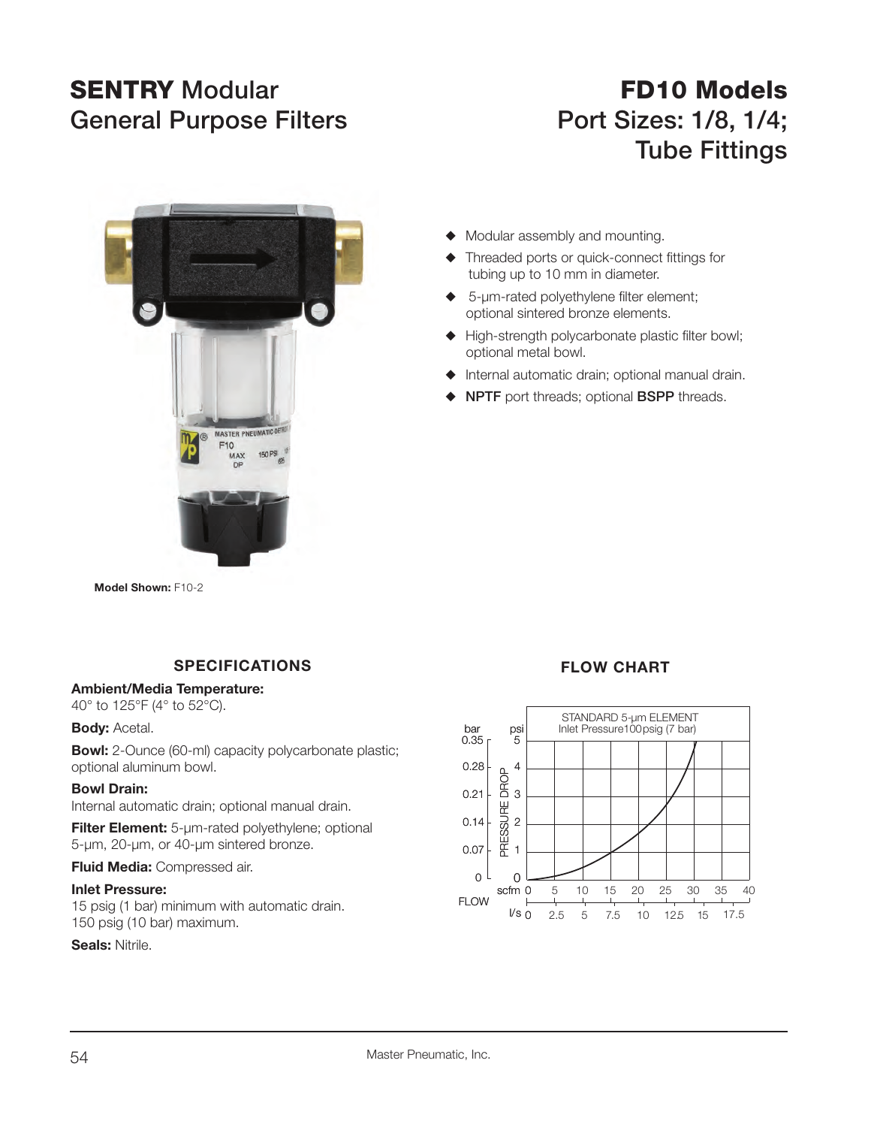# **SENTRY**General Purpose Filters **Port Sizes: 1/8, 1/4**;

# **FD10 Models Tube Fittings**



**Model Shown:** F10-2

### **SPECIFICATIONS**

#### **Ambient/Media Temperature:**

40° to 125°F (4° to 52°C).

#### **Body:** Acetal.

**Bowl:** 2-Ounce (60-ml) capacity polycarbonate plastic; optional aluminum bowl.

#### **Bowl Drain:**

Internal automatic drain; optional manual drain.

**Filter Element:** 5-µm-rated polyethylene; optional 5-µm, 20-µm, or 40-µm sintered bronze.

**Fluid Media:** Compressed air.

#### **Inlet Pressure:**

15 psig (1 bar) minimum with automatic drain. 150 psig (10 bar) maximum.

#### **Seals:** Nitrile.



- Threaded ports or quick-connect fittings for tubing up to 10 mm in diameter.
- 5-um-rated polyethylene filter element; optional sintered bronze elements.
- $\blacklozenge$  High-strength polycarbonate plastic filter bowl; optional metal bowl.
- $\blacklozenge$  Internal automatic drain; optional manual drain.
- S **NPTF** port threads; optional **BSPP** threads.

## **FLOW CHART**